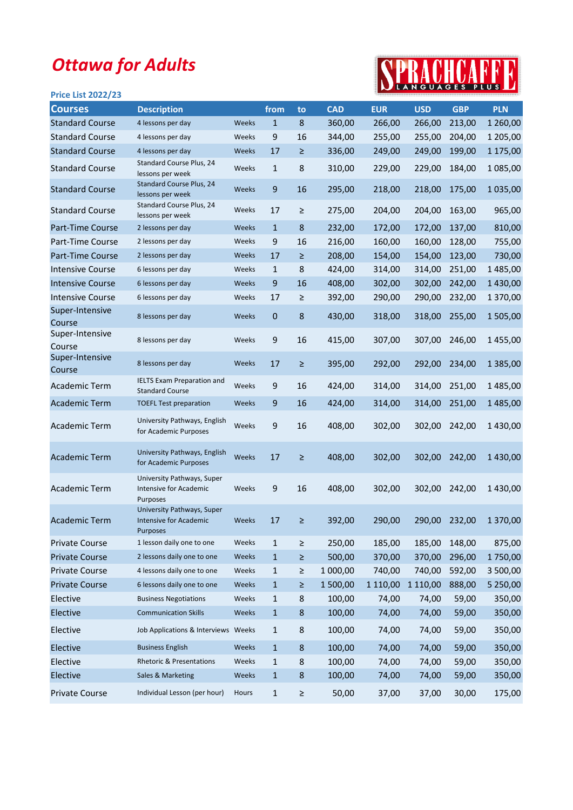## Ottawa for Adults

## SPRACHCAFFE

| <b>Price List 2022/23</b> |                                                                         |       |              |         |            |            | <b>LAN</b> |               | <u>OUNCLO FLUCE</u> |
|---------------------------|-------------------------------------------------------------------------|-------|--------------|---------|------------|------------|------------|---------------|---------------------|
| <b>Courses</b>            | <b>Description</b>                                                      |       | from         | to      | <b>CAD</b> | <b>EUR</b> | <b>USD</b> | <b>GBP</b>    | <b>PLN</b>          |
| <b>Standard Course</b>    | 4 lessons per day                                                       | Weeks | $\mathbf{1}$ | $\bf 8$ | 360,00     | 266,00     | 266,00     | 213,00        | 1 260,00            |
| <b>Standard Course</b>    | 4 lessons per day                                                       | Weeks | 9            | 16      | 344,00     | 255,00     | 255,00     | 204,00        | 1 205,00            |
| <b>Standard Course</b>    | 4 lessons per day                                                       | Weeks | 17           | ≥       | 336,00     | 249,00     | 249,00     | 199,00        | 1 175,00            |
| <b>Standard Course</b>    | Standard Course Plus, 24<br>lessons per week                            | Weeks | $\mathbf{1}$ | 8       | 310,00     | 229,00     | 229,00     | 184,00        | 1 085,00            |
| <b>Standard Course</b>    | Standard Course Plus, 24<br>lessons per week                            | Weeks | 9            | 16      | 295,00     | 218,00     | 218,00     | 175,00        | 1 035,00            |
| <b>Standard Course</b>    | Standard Course Plus, 24<br>lessons per week                            | Weeks | 17           | ≥       | 275,00     | 204,00     | 204,00     | 163,00        | 965,00              |
| Part-Time Course          | 2 lessons per day                                                       | Weeks | $\mathbf{1}$ | 8       | 232,00     | 172,00     | 172,00     | 137,00        | 810,00              |
| Part-Time Course          | 2 lessons per day                                                       | Weeks | 9            | 16      | 216,00     | 160,00     | 160,00     | 128,00        | 755,00              |
| Part-Time Course          | 2 lessons per day                                                       | Weeks | 17           | $\geq$  | 208,00     | 154,00     | 154,00     | 123,00        | 730,00              |
| <b>Intensive Course</b>   | 6 lessons per day                                                       | Weeks | 1            | 8       | 424,00     | 314,00     | 314,00     | 251,00        | 1485,00             |
| <b>Intensive Course</b>   | 6 lessons per day                                                       | Weeks | 9            | 16      | 408,00     | 302,00     | 302,00     | 242,00        | 1430,00             |
| <b>Intensive Course</b>   | 6 lessons per day                                                       | Weeks | 17           | ≥       | 392,00     | 290,00     | 290,00     | 232,00        | 1370,00             |
| Super-Intensive<br>Course | 8 lessons per day                                                       | Weeks | $\mathbf 0$  | $\bf 8$ | 430,00     | 318,00     | 318,00     | 255,00        | 1505,00             |
| Super-Intensive<br>Course | 8 lessons per day                                                       | Weeks | $\mathsf 9$  | 16      | 415,00     | 307,00     | 307,00     | 246,00        | 1455,00             |
| Super-Intensive<br>Course | 8 lessons per day                                                       | Weeks | 17           | $\geq$  | 395,00     | 292,00     | 292,00     | 234,00        | 1 3 8 5 , 0 0       |
| <b>Academic Term</b>      | <b>IELTS Exam Preparation and</b><br><b>Standard Course</b>             | Weeks | 9            | 16      | 424,00     | 314,00     | 314,00     | 251,00        | 1485,00             |
| <b>Academic Term</b>      | <b>TOEFL Test preparation</b>                                           | Weeks | 9            | 16      | 424,00     | 314,00     | 314,00     | 251,00        | 1485,00             |
| <b>Academic Term</b>      | University Pathways, English<br>for Academic Purposes                   | Weeks | 9            | 16      | 408,00     | 302,00     | 302,00     | 242,00        | 1430,00             |
| <b>Academic Term</b>      | University Pathways, English<br>for Academic Purposes                   | Weeks | 17           | $\geq$  | 408,00     | 302,00     | 302,00     | 242,00        | 1430,00             |
| <b>Academic Term</b>      | University Pathways, Super<br>Intensive for Academic<br>Purposes        | Weeks | 9            | 16      | 408,00     | 302,00     | 302,00     | 242,00        | 1430,00             |
| Academic Term             | University Pathways, Super<br>Intensive for Academic<br><b>Purposes</b> | Weeks | 17           | 2       | 392,00     | 290,00     |            | 290,00 232,00 | 1 370,00            |
| <b>Private Course</b>     | 1 lesson daily one to one                                               | Weeks | $\mathbf 1$  | $\geq$  | 250,00     | 185,00     | 185,00     | 148,00        | 875,00              |
| <b>Private Course</b>     | 2 lessons daily one to one                                              | Weeks | $\mathbf{1}$ | Σ       | 500,00     | 370,00     | 370,00     | 296,00        | 1750,00             |
| <b>Private Course</b>     | 4 lessons daily one to one                                              | Weeks | $\mathbf{1}$ | ≥       | 1 000,00   | 740,00     | 740,00     | 592,00        | 3 500,00            |
| <b>Private Course</b>     | 6 lessons daily one to one                                              | Weeks | $\mathbf{1}$ | Σ       | 1 500,00   | 1 110,00   | 1 110,00   | 888,00        | 5 250,00            |
| Elective                  | <b>Business Negotiations</b>                                            | Weeks | $\mathbf{1}$ | 8       | 100,00     | 74,00      | 74,00      | 59,00         | 350,00              |
| Elective                  | <b>Communication Skills</b>                                             | Weeks | $\mathbf{1}$ | $\bf 8$ | 100,00     | 74,00      | 74,00      | 59,00         | 350,00              |
| Elective                  | Job Applications & Interviews Weeks                                     |       | 1            | 8       | 100,00     | 74,00      | 74,00      | 59,00         | 350,00              |
| Elective                  | <b>Business English</b>                                                 | Weeks | $\mathbf{1}$ | $\bf 8$ | 100,00     | 74,00      | 74,00      | 59,00         | 350,00              |
| Elective                  | Rhetoric & Presentations                                                | Weeks | 1            | 8       | 100,00     | 74,00      | 74,00      | 59,00         | 350,00              |
| Elective                  | Sales & Marketing                                                       | Weeks | $\mathbf{1}$ | $\bf 8$ | 100,00     | 74,00      | 74,00      | 59,00         | 350,00              |
| Private Course            | Individual Lesson (per hour)                                            | Hours | $\mathbf{1}$ | $\geq$  | 50,00      | 37,00      | 37,00      | 30,00         | 175,00              |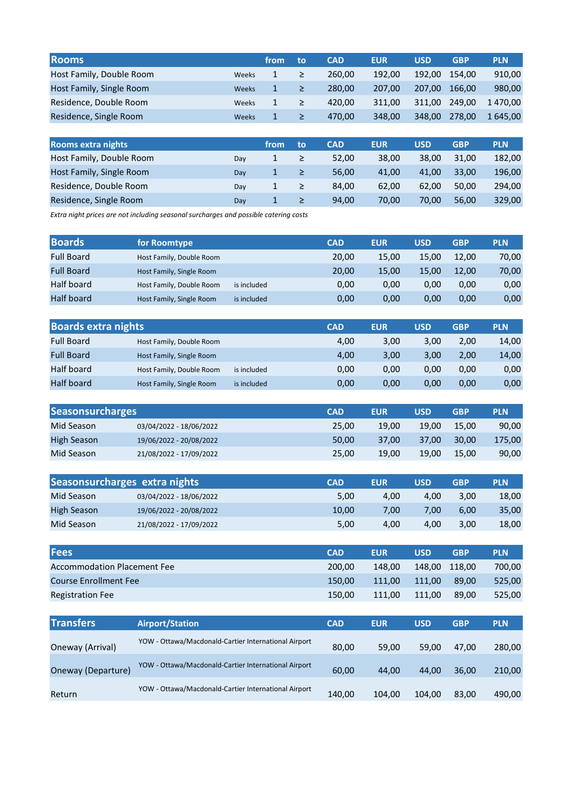| <b>Rooms</b>             |              | from | to     | <b>CAD</b> | <b>EUR</b> | <b>USD</b> | <b>GBP</b> | <b>PLN</b> |
|--------------------------|--------------|------|--------|------------|------------|------------|------------|------------|
| Host Family, Double Room | Weeks        |      | $\geq$ | 260.00     | 192.00     | 192.00     | 154.00     | 910,00     |
| Host Family, Single Room | Weeks        |      | ≥      | 280.00     | 207.00     | 207.00     | 166.00     | 980,00     |
| Residence, Double Room   | Weeks        |      | $\geq$ | 420.00     | 311.00     | 311.00     | 249.00     | 1470.00    |
| Residence, Single Room   | <b>Weeks</b> |      | ≥      | 470.00     | 348.00     | 348.00     | 278.00     | 1 645,00   |

| <b>Rooms extra nights</b> |     | from | to | <b>CAD</b> | <b>EUR</b> | <b>USD</b> | <b>GBP</b> | <b>PLN</b> |
|---------------------------|-----|------|----|------------|------------|------------|------------|------------|
| Host Family, Double Room  | Day |      | ≥  | 52,00      | 38,00      | 38.00      | 31.00      | 182.00     |
| Host Family, Single Room  | Day |      | ≥  | 56.00      | 41.00      | 41.00      | 33.00      | 196,00     |
| Residence, Double Room    | Dav |      | ≥  | 84.00      | 62,00      | 62.00      | 50.00      | 294,00     |
| Residence, Single Room    | Day |      | ≥  | 94.00      | 70,00      | 70.00      | 56.00      | 329,00     |

Extra night prices are not including seasonal surcharges and possible catering costs

| <b>Boards</b>     | for Roomtype             |             | <b>CAD</b> | <b>EUR</b> | <b>USD</b> | <b>GBP</b> | <b>PLN</b> |
|-------------------|--------------------------|-------------|------------|------------|------------|------------|------------|
| <b>Full Board</b> | Host Family, Double Room |             | 20,00      | 15.00      | 15.00      | 12.00      | 70,00      |
| <b>Full Board</b> | Host Family, Single Room |             | 20,00      | 15,00      | 15,00      | 12.00      | 70,00      |
| Half board        | Host Family, Double Room | is included | 0,00       | 0.00       | 0.00       | 0,00       | 0,00       |
| <b>Half board</b> | Host Family, Single Room | is included | 0,00       | 0,00       | 0,00       | 0,00       | 0,00       |

| <b>Boards extra nights</b> |                          |             | <b>CAD</b> | <b>EUR</b> | <b>USD</b> | <b>GBP</b> | <b>PLN</b> |
|----------------------------|--------------------------|-------------|------------|------------|------------|------------|------------|
|                            |                          |             |            |            |            |            |            |
| <b>Full Board</b>          | Host Family, Double Room |             | 4,00       | 3,00       | 3.00       | 2,00       | 14,00      |
| <b>Full Board</b>          | Host Family, Single Room |             | 4,00       | 3,00       | 3.00       | 2,00       | 14,00      |
| Half board                 | Host Family, Double Room | is included | 0,00       | 0.00       | 0.00       | 0.00       | 0,00       |
| <b>Half board</b>          | Host Family, Single Room | is included | 0,00       | 0,00       | 0.00       | 0.00       | 0,00       |

| <b>Seasonsurcharges</b> |                         | <b>CAD</b> | <b>EUR</b> | USD   | <b>GBP</b> | <b>PLN</b> |
|-------------------------|-------------------------|------------|------------|-------|------------|------------|
| Mid Season              | 03/04/2022 - 18/06/2022 | 25.00      | 19.00      | 19.00 | 15.00      | 90,00      |
| High Season             | 19/06/2022 - 20/08/2022 | 50.00      | 37.00      | 37.00 | 30.00      | 175.00     |
| Mid Season              | 21/08/2022 - 17/09/2022 | 25.00      | 19.00      | 19.00 | 15.00      | 90,00      |

|                   | Seasonsurcharges extra nights | <b>CAD</b> | <b>EUR</b> | USD               | <b>GBP</b> | <b>PLN</b> |
|-------------------|-------------------------------|------------|------------|-------------------|------------|------------|
| Mid Season        | 03/04/2022 - 18/06/2022       | 5.00       | 4.00       | 4.00              | 3.00       | 18,00      |
| High Season       | 19/06/2022 - 20/08/2022       | 10.00      | 7.00       | 7.00 <sub>1</sub> | 6.00       | 35,00      |
| <b>Mid Season</b> | 21/08/2022 - 17/09/2022       | 5,00       | 4.00       | 4.00              | 3.00       | 18,00      |

| <b>Fees</b>                        | <b>CAD</b> | <b>EUR</b> | <b>USD</b>    | <b>GBP</b> | <b>PLN</b> |
|------------------------------------|------------|------------|---------------|------------|------------|
| <b>Accommodation Placement Fee</b> | 200.00     | 148.00     | 148.00 118.00 |            | 700,00     |
| <b>Course Enrollment Fee</b>       | 150.00     | 111.00     | 111.00        | 89.00      | 525.00     |
| <b>Registration Fee</b>            | 150.00     | 111.00     | 111.00        | 89.00      | 525.00     |

| Transfers          | <b>Airport/Station</b>                               | <b>CAD</b> | <b>EUR</b> | <b>USD</b> | <b>GBP</b> | <b>PLN</b> |
|--------------------|------------------------------------------------------|------------|------------|------------|------------|------------|
| Oneway (Arrival)   | YOW - Ottawa/Macdonald-Cartier International Airport | 80.00      | 59.00      | 59.00      | 47.00      | 280,00     |
| Oneway (Departure) | YOW - Ottawa/Macdonald-Cartier International Airport | 60,00      | 44.00      | 44.00      | 36.00      | 210,00     |
| Return             | YOW - Ottawa/Macdonald-Cartier International Airport | 140,00     | 104.00     | 104,00     | 83,00      | 490,00     |